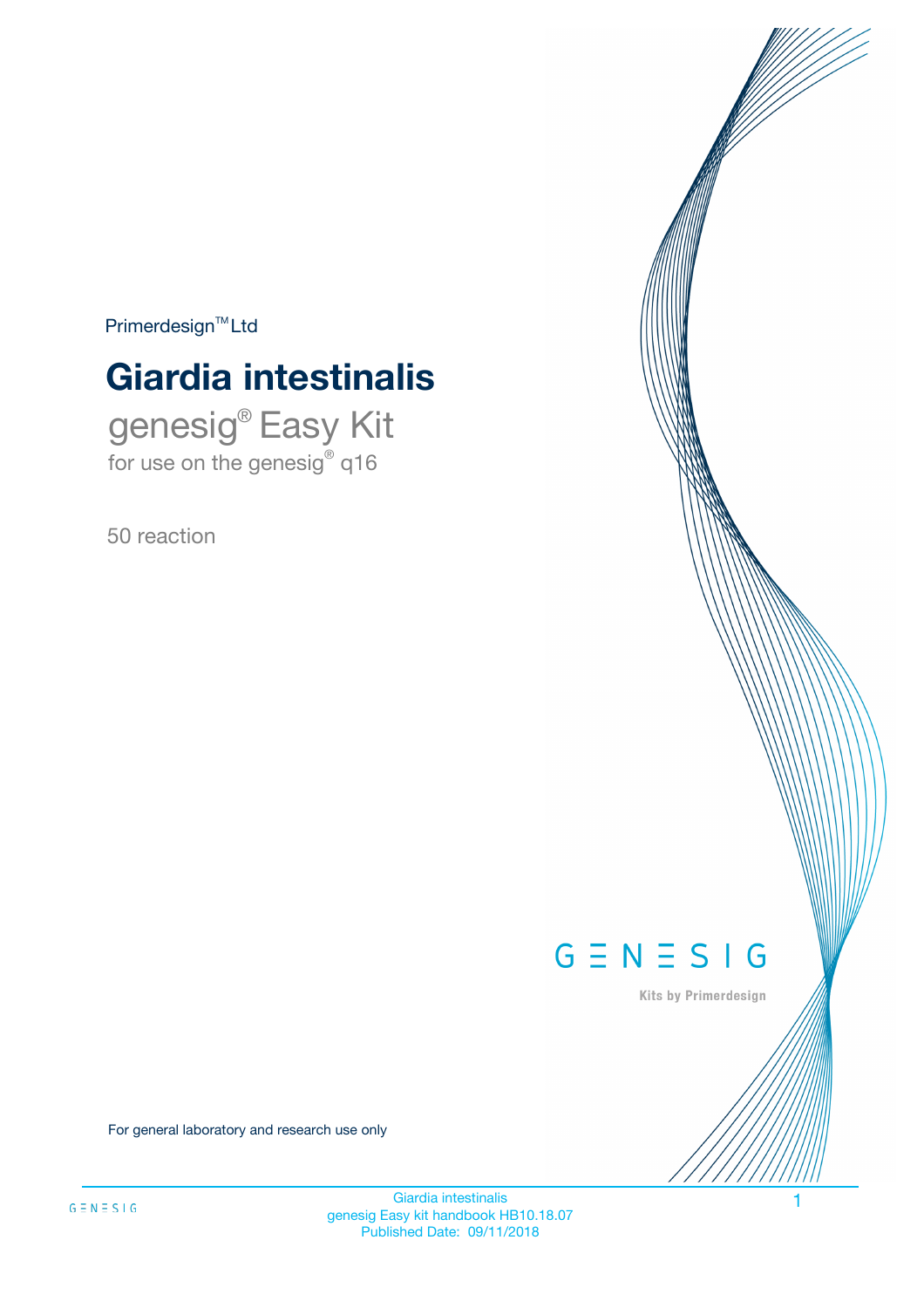$Primerdesign^{\text{TM}}Ltd$ 

# **Giardia intestinalis**

genesig® Easy Kit for use on the genesig® q16

50 reaction



Kits by Primerdesign

For general laboratory and research use only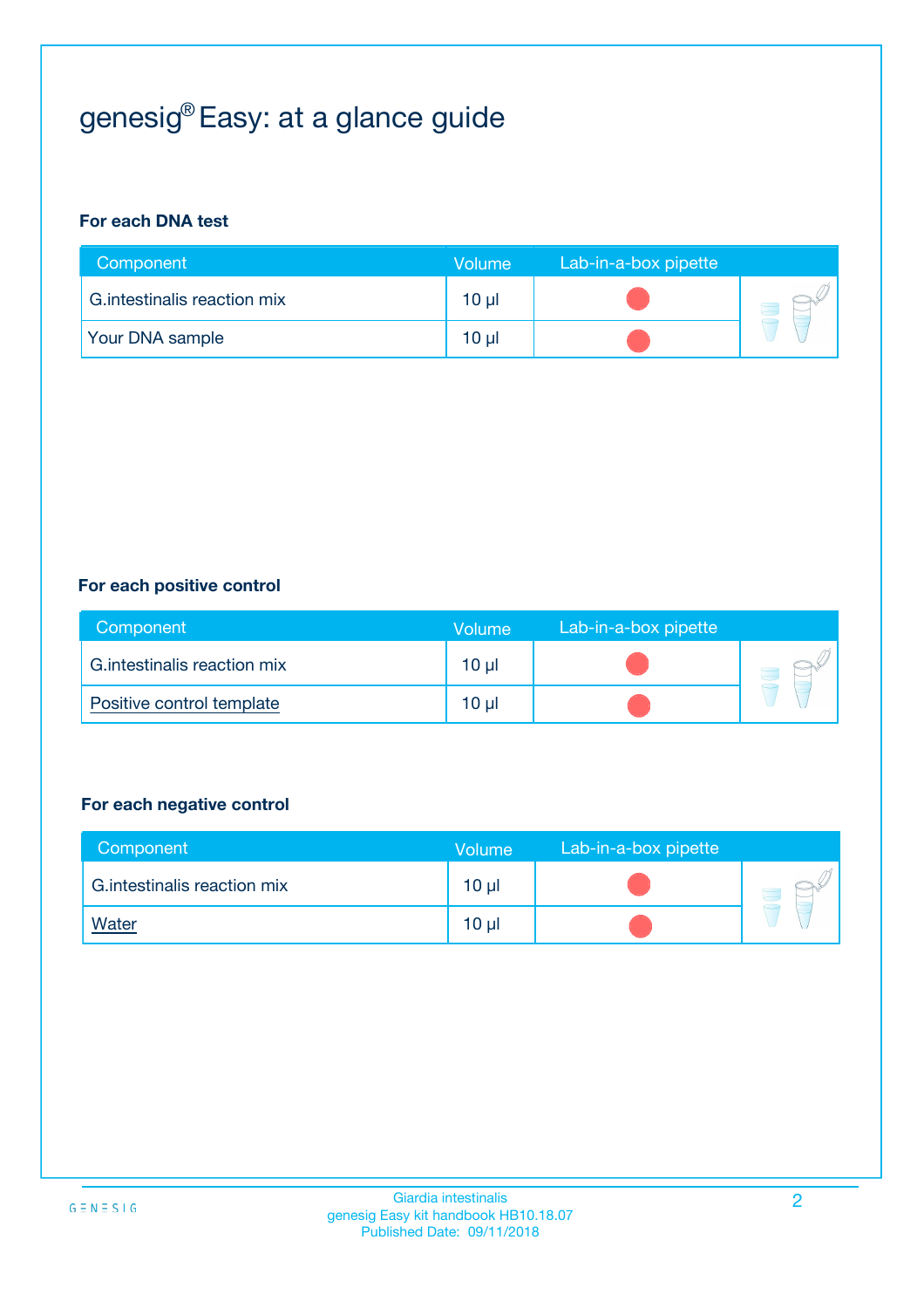# genesig® Easy: at a glance guide

#### **For each DNA test**

| Component                    | <b>Volume</b> | Lab-in-a-box pipette |  |
|------------------------------|---------------|----------------------|--|
| G. intestinalis reaction mix | 10 µl         |                      |  |
| <b>Your DNA sample</b>       | 10 µl         |                      |  |

#### **For each positive control**

| Component                    | Volume          | Lab-in-a-box pipette |  |
|------------------------------|-----------------|----------------------|--|
| G. intestinalis reaction mix | 10 <sub>µ</sub> |                      |  |
| Positive control template    | 10 <sub>µ</sub> |                      |  |

#### **For each negative control**

| Component                    | <b>Volume</b>   | Lab-in-a-box pipette |  |
|------------------------------|-----------------|----------------------|--|
| G. intestinalis reaction mix | 10 <sub>µ</sub> |                      |  |
| <u>Water</u>                 | 10 <sub>µ</sub> |                      |  |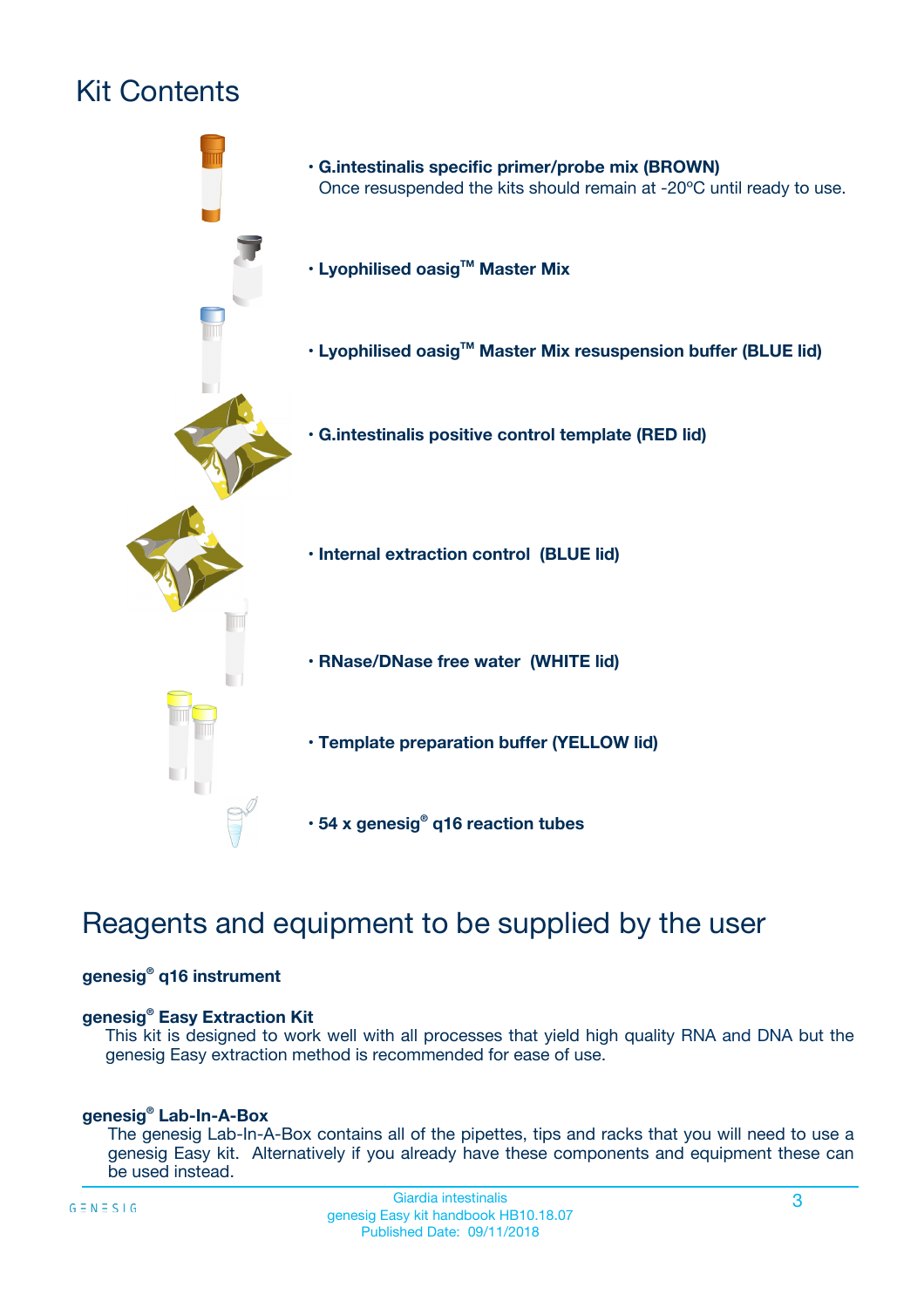# Kit Contents



# Reagents and equipment to be supplied by the user

#### **genesig® q16 instrument**

#### **genesig® Easy Extraction Kit**

This kit is designed to work well with all processes that yield high quality RNA and DNA but the genesig Easy extraction method is recommended for ease of use.

#### **genesig® Lab-In-A-Box**

The genesig Lab-In-A-Box contains all of the pipettes, tips and racks that you will need to use a genesig Easy kit. Alternatively if you already have these components and equipment these can be used instead.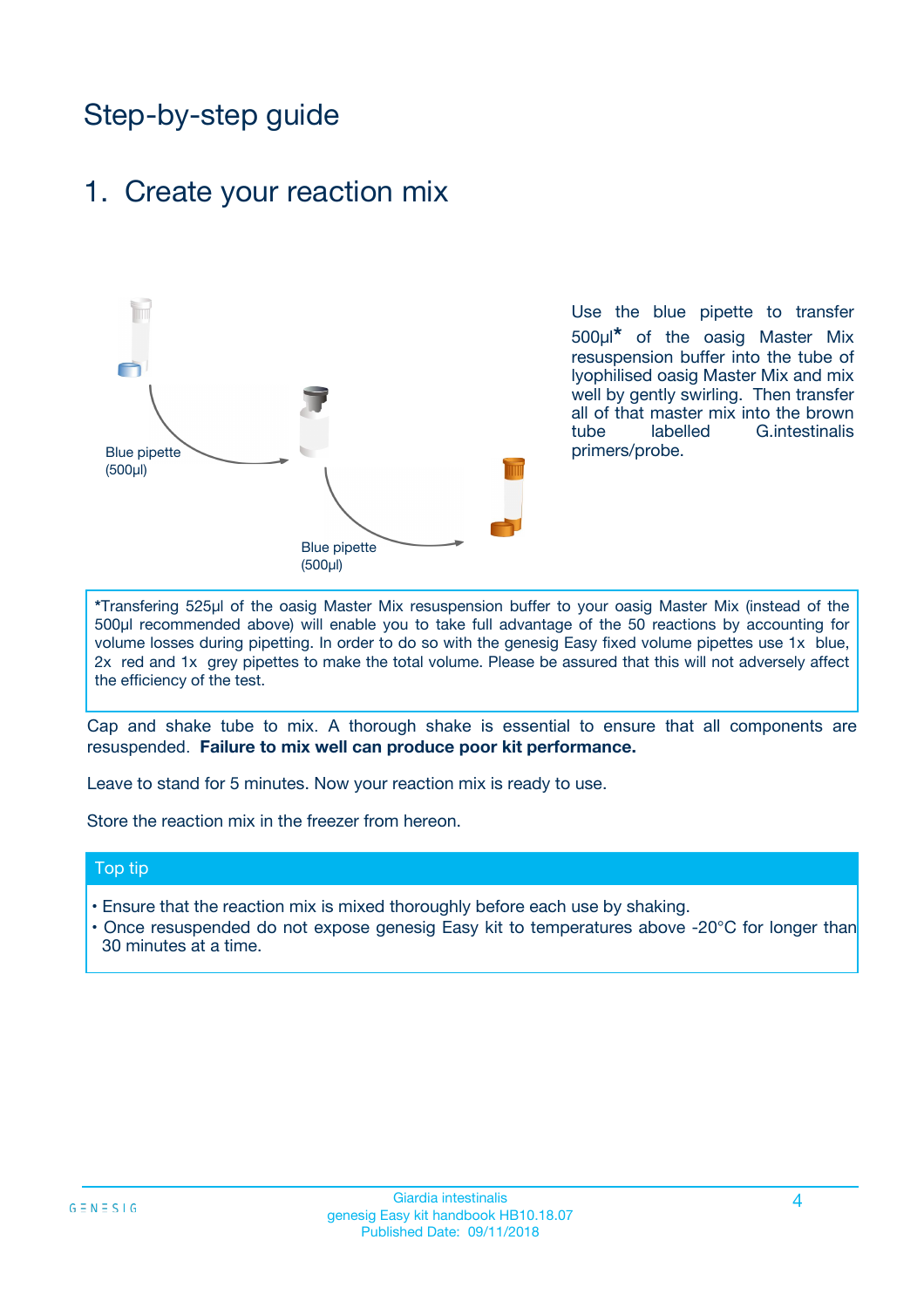# Step-by-step guide

### 1. Create your reaction mix



Use the blue pipette to transfer 500µl**\*** of the oasig Master Mix resuspension buffer into the tube of lyophilised oasig Master Mix and mix well by gently swirling. Then transfer all of that master mix into the brown tube labelled G.intestinalis primers/probe.

**\***Transfering 525µl of the oasig Master Mix resuspension buffer to your oasig Master Mix (instead of the 500µl recommended above) will enable you to take full advantage of the 50 reactions by accounting for volume losses during pipetting. In order to do so with the genesig Easy fixed volume pipettes use 1x blue, 2x red and 1x grey pipettes to make the total volume. Please be assured that this will not adversely affect the efficiency of the test.

Cap and shake tube to mix. A thorough shake is essential to ensure that all components are resuspended. **Failure to mix well can produce poor kit performance.**

Leave to stand for 5 minutes. Now your reaction mix is ready to use.

Store the reaction mix in the freezer from hereon.

#### Top tip

- Ensure that the reaction mix is mixed thoroughly before each use by shaking.
- Once resuspended do not expose genesig Easy kit to temperatures above -20°C for longer than 30 minutes at a time.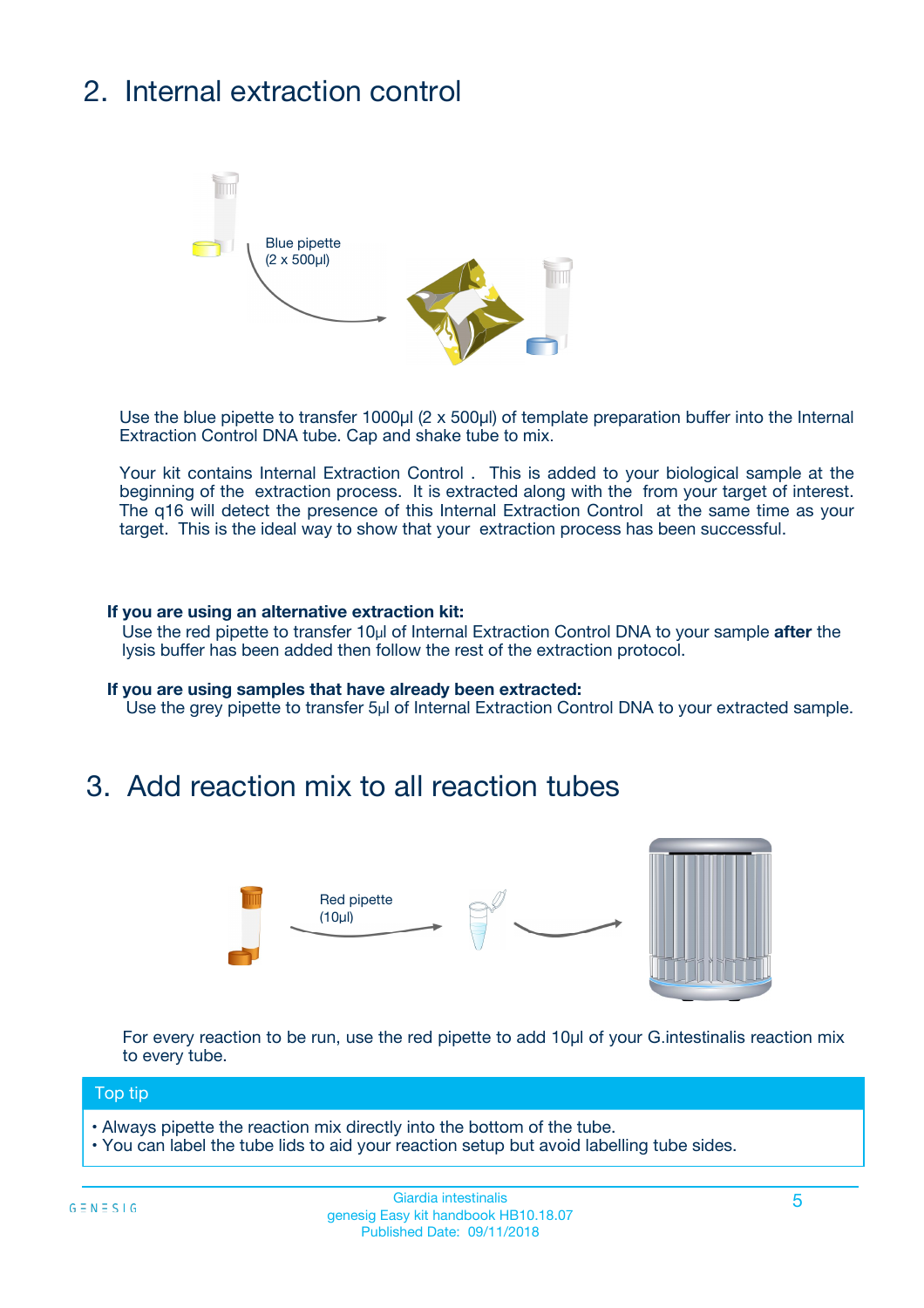# 2. Internal extraction control



Use the blue pipette to transfer 1000µl (2 x 500µl) of template preparation buffer into the Internal Extraction Control DNA tube. Cap and shake tube to mix.

Your kit contains Internal Extraction Control . This is added to your biological sample at the beginning of the extraction process. It is extracted along with the from your target of interest. The q16 will detect the presence of this Internal Extraction Control at the same time as your target. This is the ideal way to show that your extraction process has been successful.

#### **If you are using an alternative extraction kit:**

Use the red pipette to transfer 10µl of Internal Extraction Control DNA to your sample **after** the lysis buffer has been added then follow the rest of the extraction protocol.

#### **If you are using samples that have already been extracted:**

Use the grey pipette to transfer 5µl of Internal Extraction Control DNA to your extracted sample.

### 3. Add reaction mix to all reaction tubes



For every reaction to be run, use the red pipette to add 10µl of your G.intestinalis reaction mix to every tube.

#### Top tip

- Always pipette the reaction mix directly into the bottom of the tube.
- You can label the tube lids to aid your reaction setup but avoid labelling tube sides.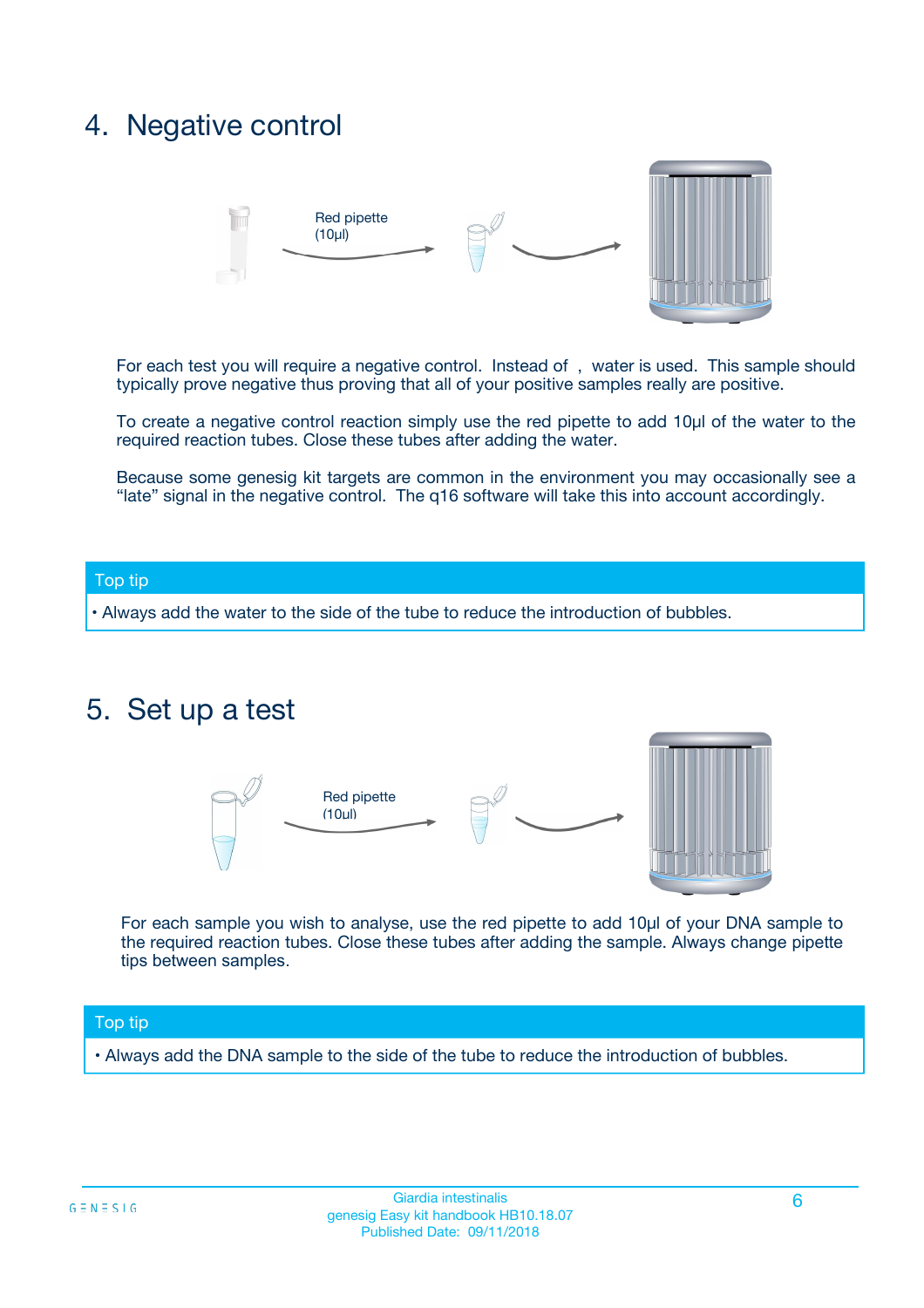## 4. Negative control



For each test you will require a negative control. Instead of , water is used. This sample should typically prove negative thus proving that all of your positive samples really are positive.

To create a negative control reaction simply use the red pipette to add 10µl of the water to the required reaction tubes. Close these tubes after adding the water.

Because some genesig kit targets are common in the environment you may occasionally see a "late" signal in the negative control. The q16 software will take this into account accordingly.

#### Top tip

**•** Always add the water to the side of the tube to reduce the introduction of bubbles.

### 5. Set up a test



For each sample you wish to analyse, use the red pipette to add 10µl of your DNA sample to the required reaction tubes. Close these tubes after adding the sample. Always change pipette tips between samples.

#### Top tip

**•** Always add the DNA sample to the side of the tube to reduce the introduction of bubbles.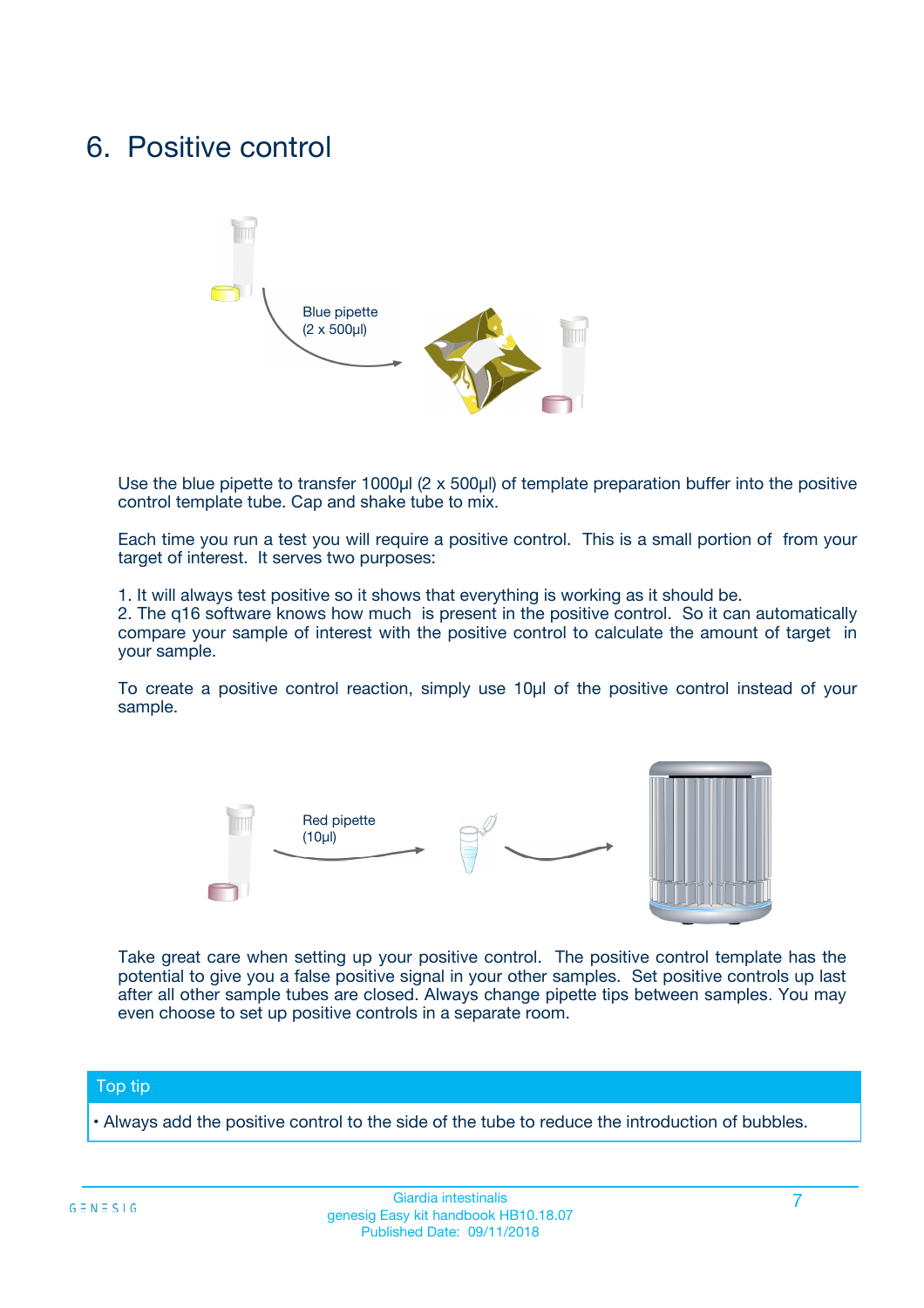## 6. Positive control



Use the blue pipette to transfer 1000µl (2 x 500µl) of template preparation buffer into the positive control template tube. Cap and shake tube to mix.

Each time you run a test you will require a positive control. This is a small portion of from your target of interest. It serves two purposes:

1. It will always test positive so it shows that everything is working as it should be.

2. The q16 software knows how much is present in the positive control. So it can automatically compare your sample of interest with the positive control to calculate the amount of target in your sample.

To create a positive control reaction, simply use 10µl of the positive control instead of your sample.



Take great care when setting up your positive control. The positive control template has the potential to give you a false positive signal in your other samples. Set positive controls up last after all other sample tubes are closed. Always change pipette tips between samples. You may even choose to set up positive controls in a separate room.

#### Top tip

**•** Always add the positive control to the side of the tube to reduce the introduction of bubbles.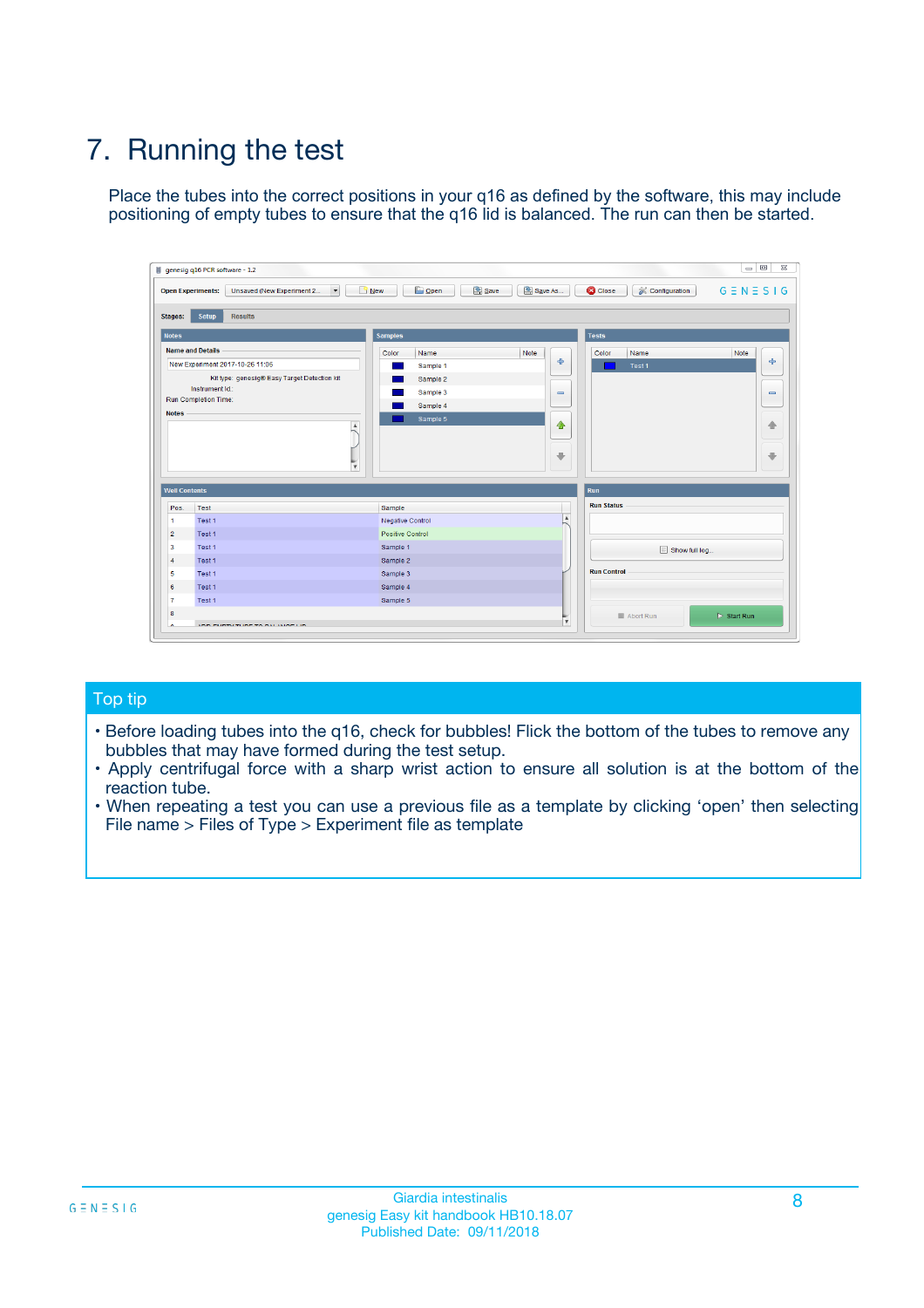# 7. Running the test

Place the tubes into the correct positions in your q16 as defined by the software, this may include positioning of empty tubes to ensure that the q16 lid is balanced. The run can then be started.

| genesig q16 PCR software - 1.2                                               |                                     | $\Box$                                                                                  |
|------------------------------------------------------------------------------|-------------------------------------|-----------------------------------------------------------------------------------------|
| Unsaved (New Experiment 2<br>$\vert \cdot \vert$<br><b>Open Experiments:</b> | <b>D</b> Open<br>Save<br>$\Box$ New | Save As<br><b>C</b> Close<br>$G \equiv N \equiv S \mid G$<br><b>&amp; Configuration</b> |
| Setup<br><b>Results</b><br><b>Stages:</b>                                    |                                     |                                                                                         |
| <b>Notes</b>                                                                 | Samples                             | <b>Tests</b>                                                                            |
| <b>Name and Details</b>                                                      | Color<br>Name                       | Note<br>Color<br>Note<br>Name                                                           |
| New Experiment 2017-10-26 11:06                                              | Sample 1                            | 条<br>علي<br>Test 1                                                                      |
| Kit type: genesig® Easy Target Detection kit                                 | Sample 2                            |                                                                                         |
| Instrument Id.:                                                              | Sample 3                            | $\qquad \qquad \blacksquare$<br>$\qquad \qquad \blacksquare$                            |
| Run Completion Time:                                                         | Sample 4                            |                                                                                         |
| <b>Notes</b>                                                                 | Sample 5<br>A<br>v                  | $\triangle$<br>4<br>$\oplus$<br>₩                                                       |
| <b>Well Contents</b>                                                         |                                     | <b>Run</b>                                                                              |
| Pos.<br>Test                                                                 | Sample                              | <b>Run Status</b>                                                                       |
| Test 1<br>-1                                                                 | <b>Negative Control</b>             | $\blacktriangle$                                                                        |
| $\overline{2}$<br>Test 1                                                     | <b>Positive Control</b>             |                                                                                         |
| $\overline{\mathbf{3}}$<br>Test 1                                            | Sample 1                            | Show full log                                                                           |
| Test 1<br>$\overline{4}$                                                     | Sample 2                            |                                                                                         |
| 5<br>Test 1                                                                  | Sample 3                            | <b>Run Control</b>                                                                      |
| 6<br>Test 1                                                                  | Sample 4                            |                                                                                         |
| $\overline{7}$<br>Test 1                                                     | Sample 5                            |                                                                                         |
| 8                                                                            |                                     | $\triangleright$ Start Run<br>Abort Run                                                 |
| <b>JOD FURTY TUDE TO BUILDED IN</b>                                          |                                     | $\overline{\mathbf{v}}$                                                                 |

#### Top tip

- Before loading tubes into the q16, check for bubbles! Flick the bottom of the tubes to remove any bubbles that may have formed during the test setup.
- Apply centrifugal force with a sharp wrist action to ensure all solution is at the bottom of the reaction tube.
- When repeating a test you can use a previous file as a template by clicking 'open' then selecting File name > Files of Type > Experiment file as template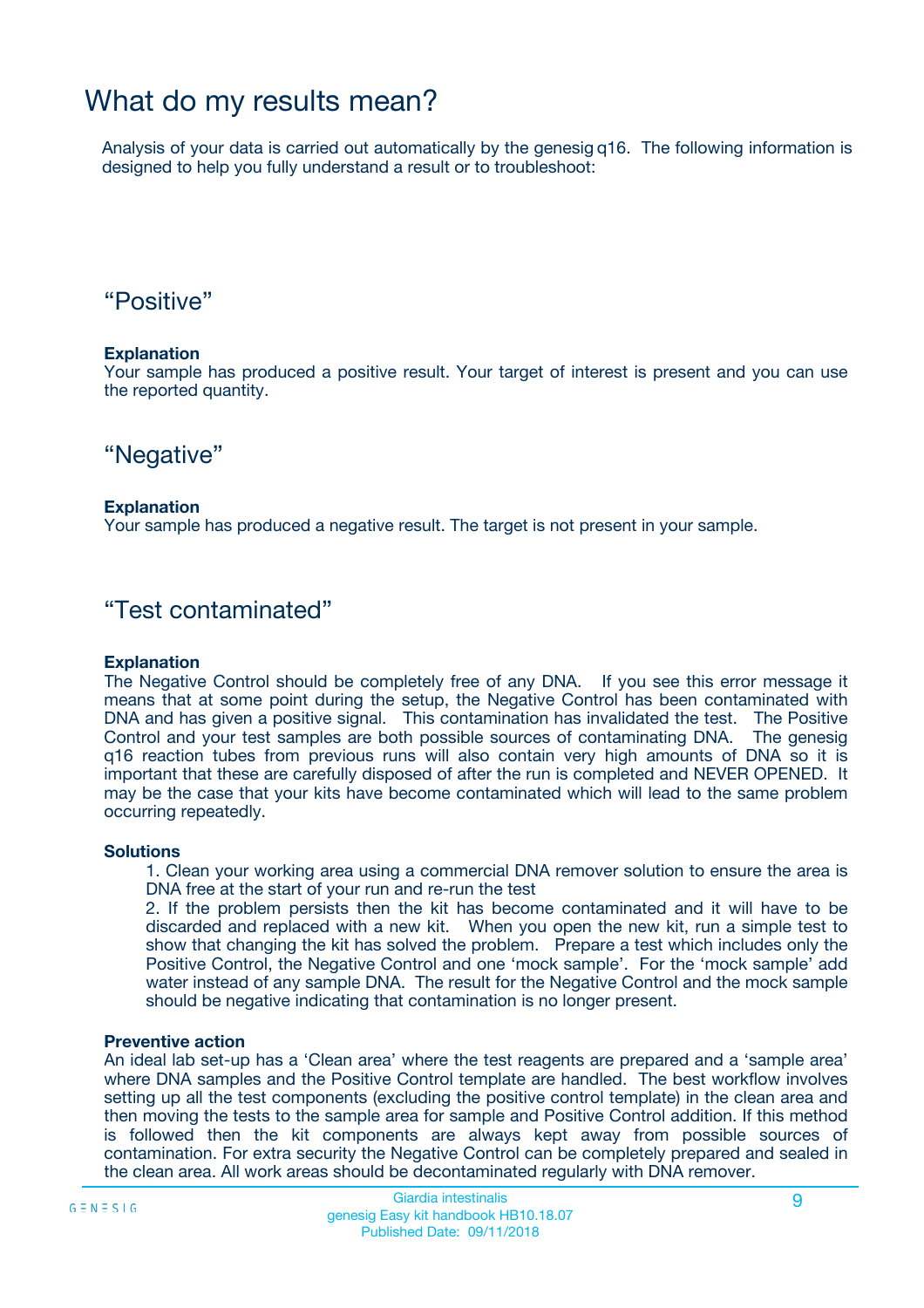## What do my results mean?

Analysis of your data is carried out automatically by the genesig q16. The following information is designed to help you fully understand a result or to troubleshoot:

### "Positive"

#### **Explanation**

Your sample has produced a positive result. Your target of interest is present and you can use the reported quantity.

"Negative"

#### **Explanation**

Your sample has produced a negative result. The target is not present in your sample.

### "Test contaminated"

#### **Explanation**

The Negative Control should be completely free of any DNA. If you see this error message it means that at some point during the setup, the Negative Control has been contaminated with DNA and has given a positive signal. This contamination has invalidated the test. The Positive Control and your test samples are both possible sources of contaminating DNA. The genesig q16 reaction tubes from previous runs will also contain very high amounts of DNA so it is important that these are carefully disposed of after the run is completed and NEVER OPENED. It may be the case that your kits have become contaminated which will lead to the same problem occurring repeatedly.

#### **Solutions**

1. Clean your working area using a commercial DNA remover solution to ensure the area is DNA free at the start of your run and re-run the test

2. If the problem persists then the kit has become contaminated and it will have to be discarded and replaced with a new kit. When you open the new kit, run a simple test to show that changing the kit has solved the problem. Prepare a test which includes only the Positive Control, the Negative Control and one 'mock sample'. For the 'mock sample' add water instead of any sample DNA. The result for the Negative Control and the mock sample should be negative indicating that contamination is no longer present.

#### **Preventive action**

An ideal lab set-up has a 'Clean area' where the test reagents are prepared and a 'sample area' where DNA samples and the Positive Control template are handled. The best workflow involves setting up all the test components (excluding the positive control template) in the clean area and then moving the tests to the sample area for sample and Positive Control addition. If this method is followed then the kit components are always kept away from possible sources of contamination. For extra security the Negative Control can be completely prepared and sealed in the clean area. All work areas should be decontaminated regularly with DNA remover.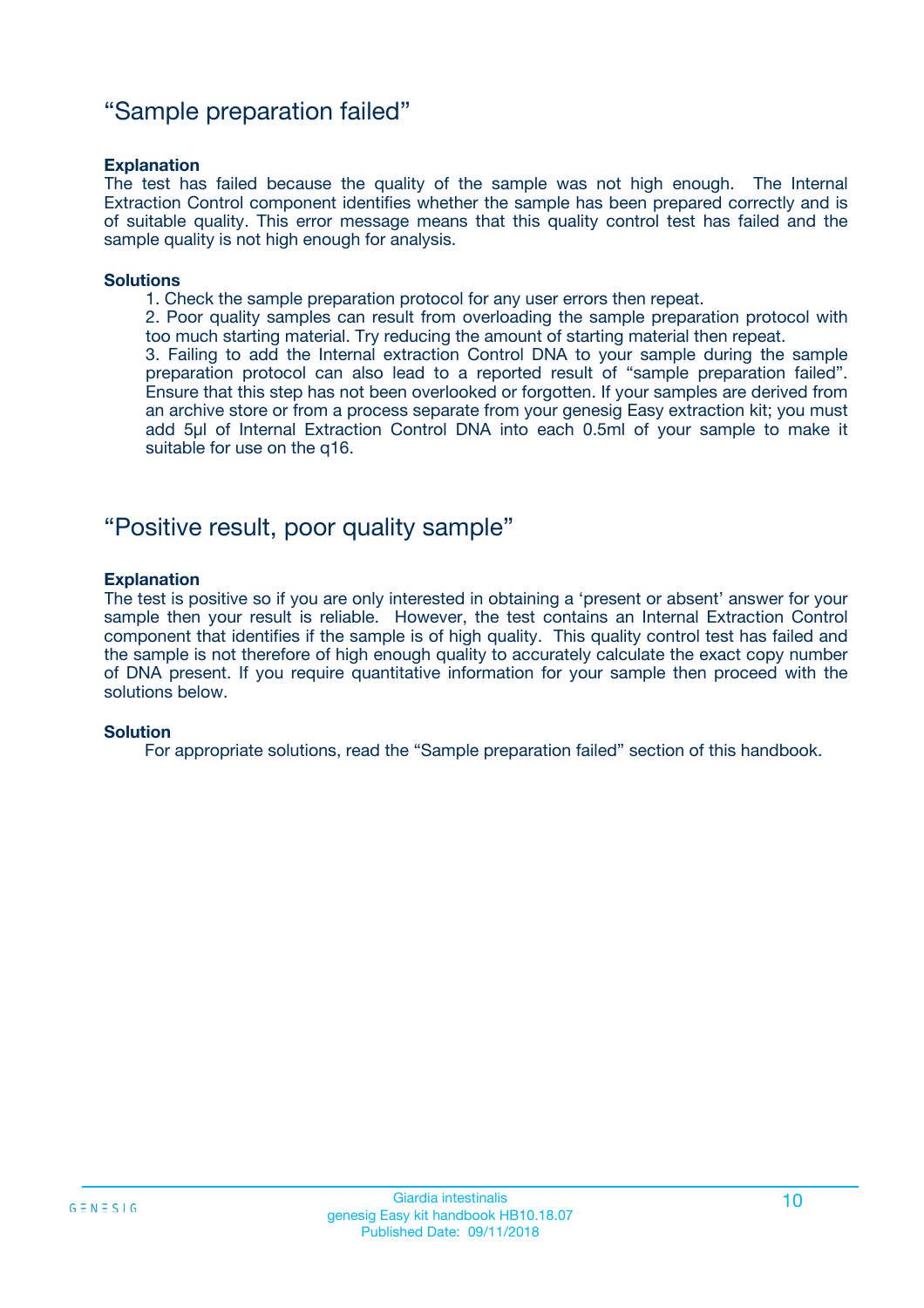### "Sample preparation failed"

#### **Explanation**

The test has failed because the quality of the sample was not high enough. The Internal Extraction Control component identifies whether the sample has been prepared correctly and is of suitable quality. This error message means that this quality control test has failed and the sample quality is not high enough for analysis.

#### **Solutions**

1. Check the sample preparation protocol for any user errors then repeat.

2. Poor quality samples can result from overloading the sample preparation protocol with too much starting material. Try reducing the amount of starting material then repeat.

3. Failing to add the Internal extraction Control DNA to your sample during the sample preparation protocol can also lead to a reported result of "sample preparation failed". Ensure that this step has not been overlooked or forgotten. If your samples are derived from an archive store or from a process separate from your genesig Easy extraction kit; you must add 5µl of Internal Extraction Control DNA into each 0.5ml of your sample to make it suitable for use on the q16.

### "Positive result, poor quality sample"

#### **Explanation**

The test is positive so if you are only interested in obtaining a 'present or absent' answer for your sample then your result is reliable. However, the test contains an Internal Extraction Control component that identifies if the sample is of high quality. This quality control test has failed and the sample is not therefore of high enough quality to accurately calculate the exact copy number of DNA present. If you require quantitative information for your sample then proceed with the solutions below.

#### **Solution**

For appropriate solutions, read the "Sample preparation failed" section of this handbook.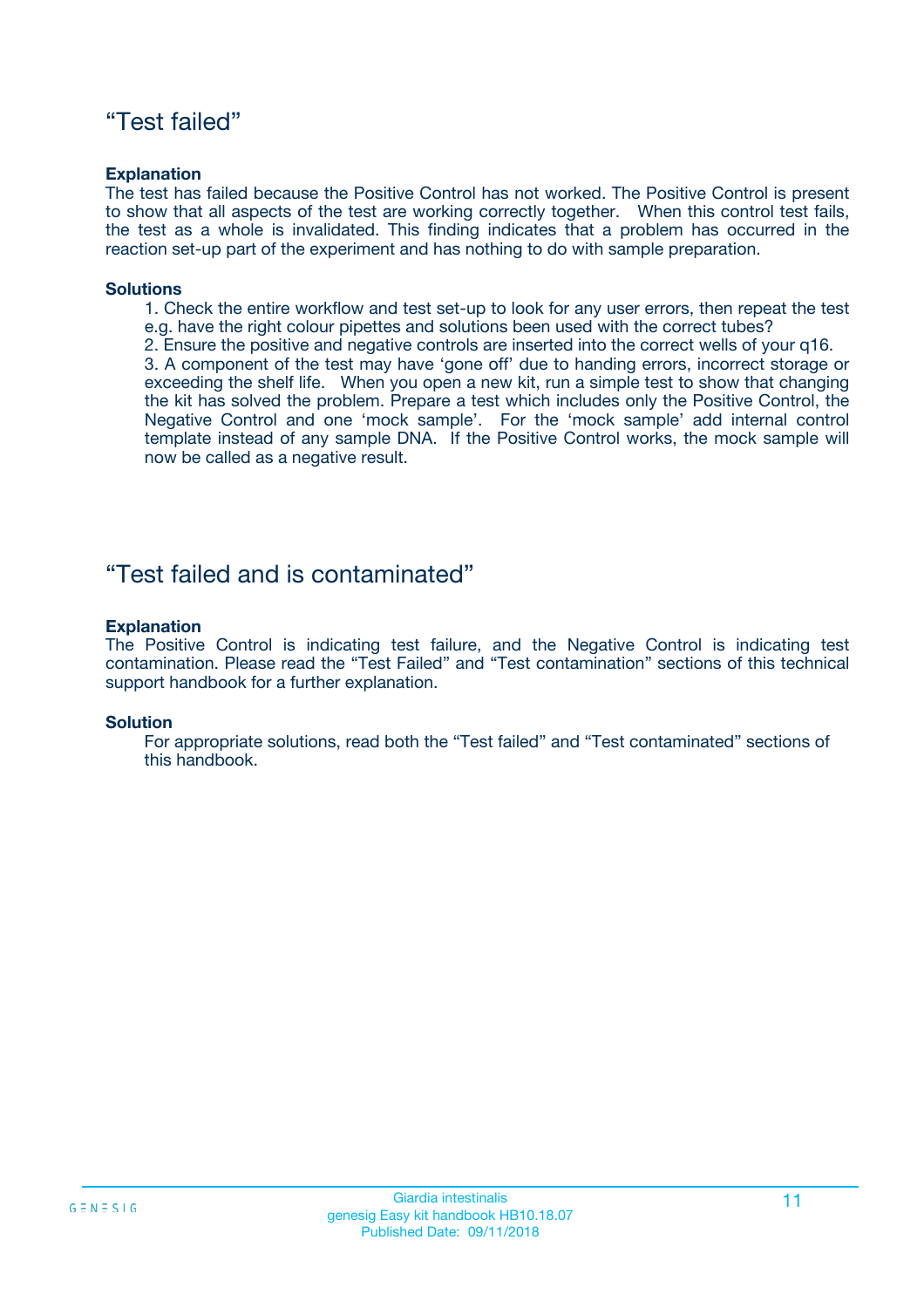### "Test failed"

#### **Explanation**

The test has failed because the Positive Control has not worked. The Positive Control is present to show that all aspects of the test are working correctly together. When this control test fails, the test as a whole is invalidated. This finding indicates that a problem has occurred in the reaction set-up part of the experiment and has nothing to do with sample preparation.

#### **Solutions**

- 1. Check the entire workflow and test set-up to look for any user errors, then repeat the test e.g. have the right colour pipettes and solutions been used with the correct tubes?
- 2. Ensure the positive and negative controls are inserted into the correct wells of your q16.

3. A component of the test may have 'gone off' due to handing errors, incorrect storage or exceeding the shelf life. When you open a new kit, run a simple test to show that changing the kit has solved the problem. Prepare a test which includes only the Positive Control, the Negative Control and one 'mock sample'. For the 'mock sample' add internal control template instead of any sample DNA. If the Positive Control works, the mock sample will now be called as a negative result.

### "Test failed and is contaminated"

#### **Explanation**

The Positive Control is indicating test failure, and the Negative Control is indicating test contamination. Please read the "Test Failed" and "Test contamination" sections of this technical support handbook for a further explanation.

#### **Solution**

For appropriate solutions, read both the "Test failed" and "Test contaminated" sections of this handbook.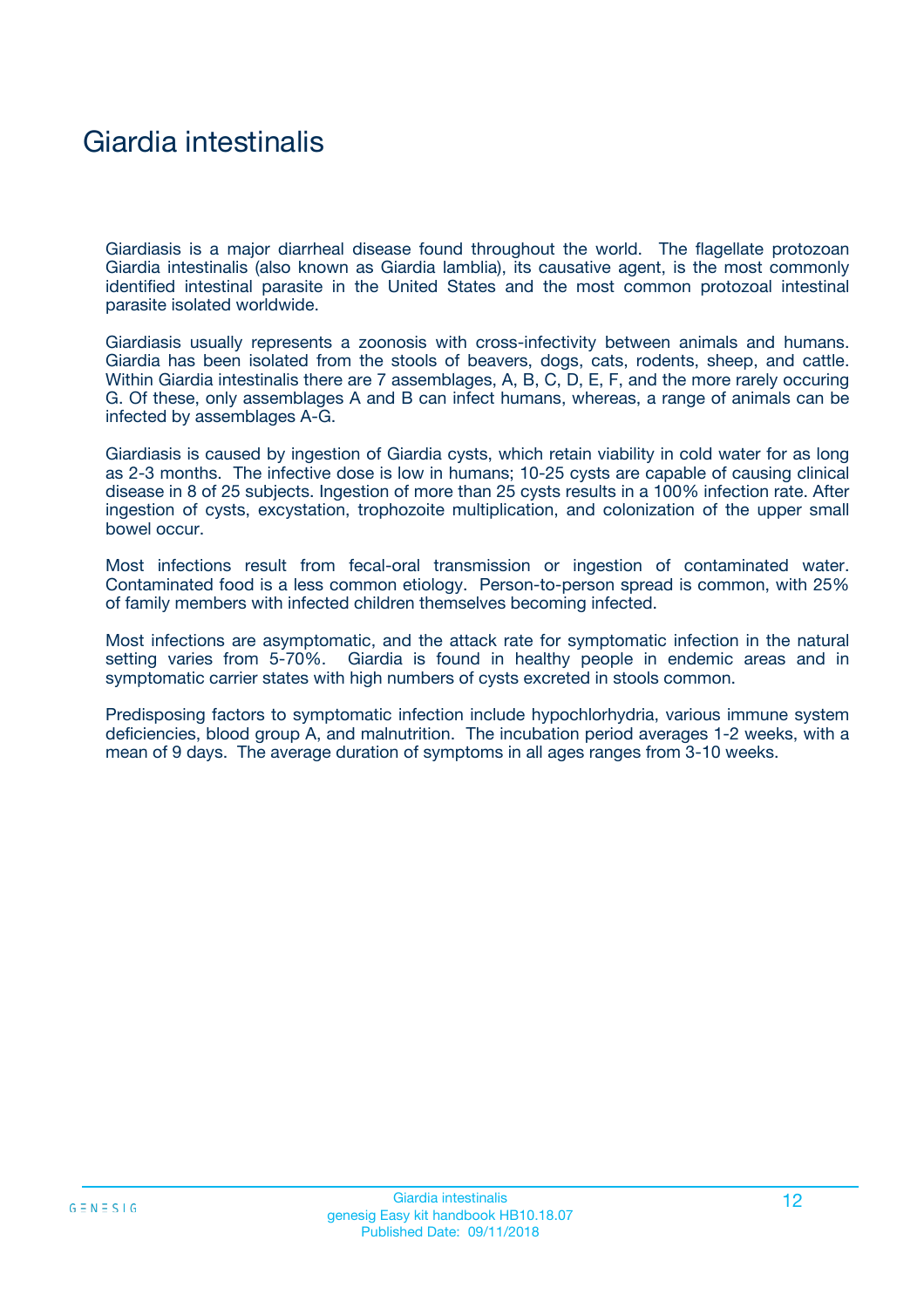# Giardia intestinalis

Giardiasis is a major diarrheal disease found throughout the world. The flagellate protozoan Giardia intestinalis (also known as Giardia lamblia), its causative agent, is the most commonly identified intestinal parasite in the United States and the most common protozoal intestinal parasite isolated worldwide.

Giardiasis usually represents a zoonosis with cross-infectivity between animals and humans. Giardia has been isolated from the stools of beavers, dogs, cats, rodents, sheep, and cattle. Within Giardia intestinalis there are 7 assemblages, A, B, C, D, E, F, and the more rarely occuring G. Of these, only assemblages A and B can infect humans, whereas, a range of animals can be infected by assemblages A-G.

Giardiasis is caused by ingestion of Giardia cysts, which retain viability in cold water for as long as 2-3 months. The infective dose is low in humans; 10-25 cysts are capable of causing clinical disease in 8 of 25 subjects. Ingestion of more than 25 cysts results in a 100% infection rate. After ingestion of cysts, excystation, trophozoite multiplication, and colonization of the upper small bowel occur.

Most infections result from fecal-oral transmission or ingestion of contaminated water. Contaminated food is a less common etiology. Person-to-person spread is common, with 25% of family members with infected children themselves becoming infected.

Most infections are asymptomatic, and the attack rate for symptomatic infection in the natural setting varies from 5-70%. Giardia is found in healthy people in endemic areas and in symptomatic carrier states with high numbers of cysts excreted in stools common.

Predisposing factors to symptomatic infection include hypochlorhydria, various immune system deficiencies, blood group A, and malnutrition. The incubation period averages 1-2 weeks, with a mean of 9 days. The average duration of symptoms in all ages ranges from 3-10 weeks.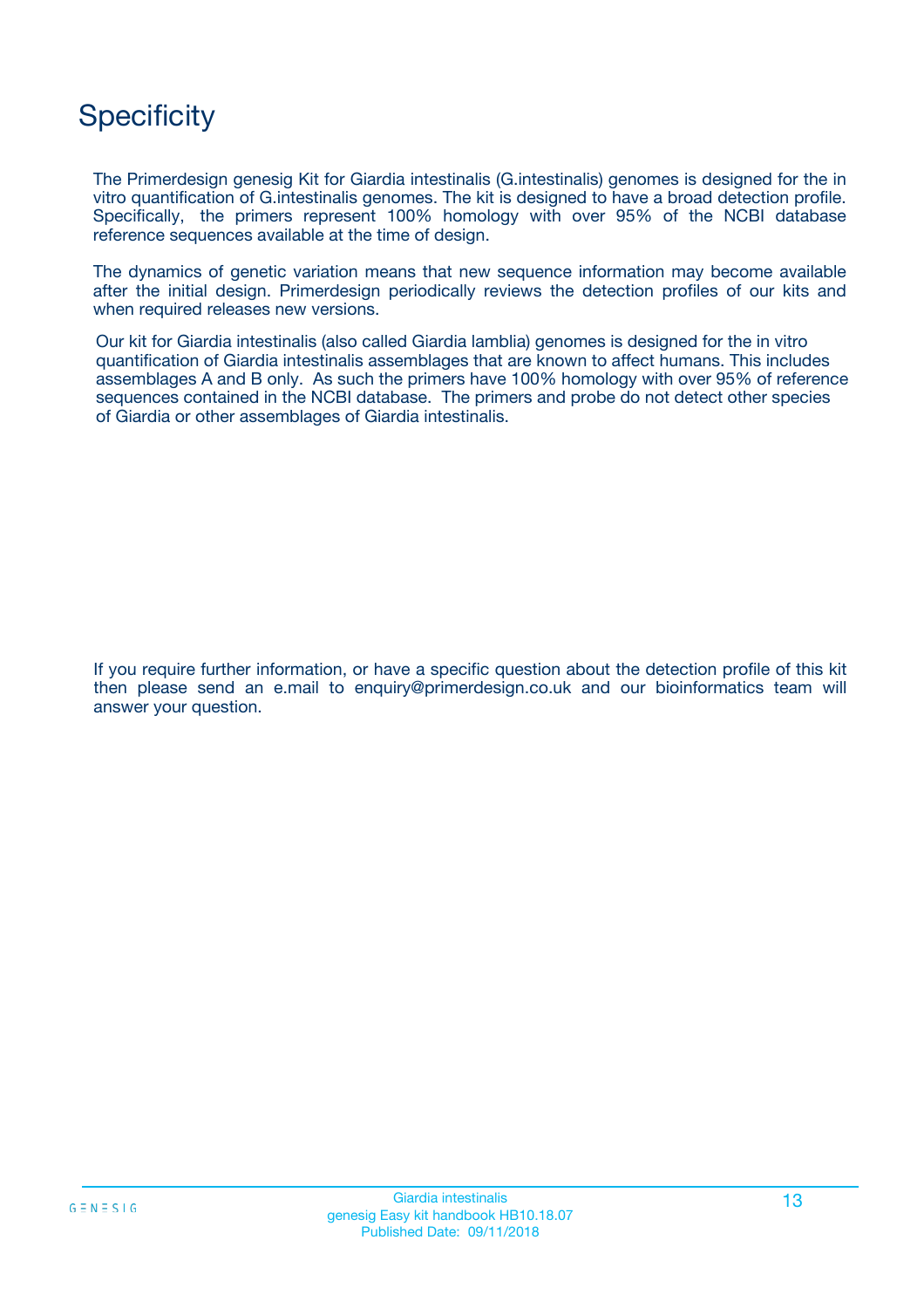# **Specificity**

The Primerdesign genesig Kit for Giardia intestinalis (G.intestinalis) genomes is designed for the in vitro quantification of G.intestinalis genomes. The kit is designed to have a broad detection profile. Specifically, the primers represent 100% homology with over 95% of the NCBI database reference sequences available at the time of design.

The dynamics of genetic variation means that new sequence information may become available after the initial design. Primerdesign periodically reviews the detection profiles of our kits and when required releases new versions.

Our kit for Giardia intestinalis (also called Giardia lamblia) genomes is designed for the in vitro quantification of Giardia intestinalis assemblages that are known to affect humans. This includes assemblages A and B only. As such the primers have 100% homology with over 95% of reference sequences contained in the NCBI database. The primers and probe do not detect other species of Giardia or other assemblages of Giardia intestinalis.

If you require further information, or have a specific question about the detection profile of this kit then please send an e.mail to enquiry@primerdesign.co.uk and our bioinformatics team will answer your question.